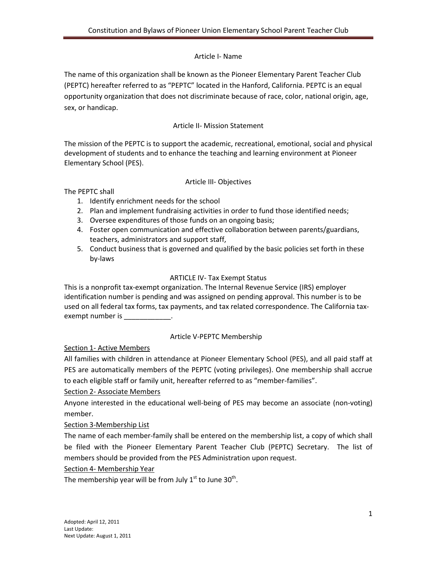### Article I- Name

The name of this organization shall be known as the Pioneer Elementary Parent Teacher Club (PEPTC) hereafter referred to as "PEPTC" located in the Hanford, California. PEPTC is an equal opportunity organization that does not discriminate because of race, color, national origin, age, sex, or handicap.

## Article II- Mission Statement

The mission of the PEPTC is to support the academic, recreational, emotional, social and physical development of students and to enhance the teaching and learning environment at Pioneer Elementary School (PES).

#### Article III- Objectives

The PEPTC shall

- 1. Identify enrichment needs for the school
- 2. Plan and implement fundraising activities in order to fund those identified needs;
- 3. Oversee expenditures of those funds on an ongoing basis;
- 4. Foster open communication and effective collaboration between parents/guardians, teachers, administrators and support staff,
- 5. Conduct business that is governed and qualified by the basic policies set forth in these by-laws

### ARTICLE IV- Tax Exempt Status

This is a nonprofit tax-exempt organization. The Internal Revenue Service (IRS) employer identification number is pending and was assigned on pending approval. This number is to be used on all federal tax forms, tax payments, and tax related correspondence. The California taxexempt number is  $\hspace{1.6cm}$ .

### Article V-PEPTC Membership

Section 1- Active Members

All families with children in attendance at Pioneer Elementary School (PES), and all paid staff at PES are automatically members of the PEPTC (voting privileges). One membership shall accrue to each eligible staff or family unit, hereafter referred to as "member-families".

### Section 2- Associate Members

Anyone interested in the educational well-being of PES may become an associate (non-voting) member.

Section 3-Membership List

The name of each member-family shall be entered on the membership list, a copy of which shall be filed with the Pioneer Elementary Parent Teacher Club (PEPTC) Secretary. The list of members should be provided from the PES Administration upon request.

### Section 4- Membership Year

The membership year will be from July  $1<sup>st</sup>$  to June 30<sup>th</sup>.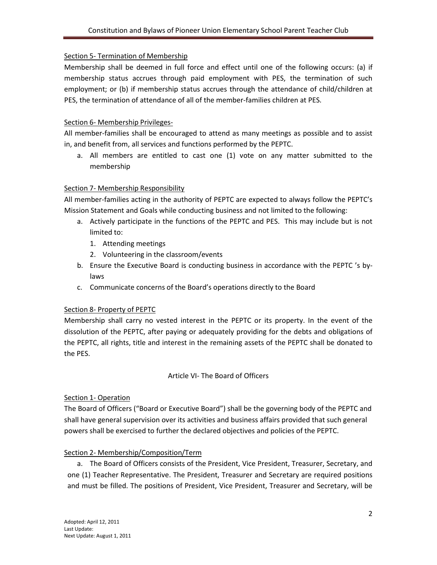### Section 5- Termination of Membership

Membership shall be deemed in full force and effect until one of the following occurs: (a) if membership status accrues through paid employment with PES, the termination of such employment; or (b) if membership status accrues through the attendance of child/children at PES, the termination of attendance of all of the member-families children at PES.

### Section 6- Membership Privileges-

All member-families shall be encouraged to attend as many meetings as possible and to assist in, and benefit from, all services and functions performed by the PEPTC.

a. All members are entitled to cast one (1) vote on any matter submitted to the membership

### Section 7- Membership Responsibility

All member-families acting in the authority of PEPTC are expected to always follow the PEPTC's Mission Statement and Goals while conducting business and not limited to the following:

- a. Actively participate in the functions of the PEPTC and PES. This may include but is not limited to:
	- 1. Attending meetings
	- 2. Volunteering in the classroom/events
- b. Ensure the Executive Board is conducting business in accordance with the PEPTC 's bylaws
- c. Communicate concerns of the Board's operations directly to the Board

### Section 8- Property of PEPTC

Membership shall carry no vested interest in the PEPTC or its property. In the event of the dissolution of the PEPTC, after paying or adequately providing for the debts and obligations of the PEPTC, all rights, title and interest in the remaining assets of the PEPTC shall be donated to the PES.

#### Article VI- The Board of Officers

### Section 1- Operation

The Board of Officers ("Board or Executive Board") shall be the governing body of the PEPTC and shall have general supervision over its activities and business affairs provided that such general powers shall be exercised to further the declared objectives and policies of the PEPTC.

### Section 2- Membership/Composition/Term

a. The Board of Officers consists of the President, Vice President, Treasurer, Secretary, and one (1) Teacher Representative. The President, Treasurer and Secretary are required positions and must be filled. The positions of President, Vice President, Treasurer and Secretary, will be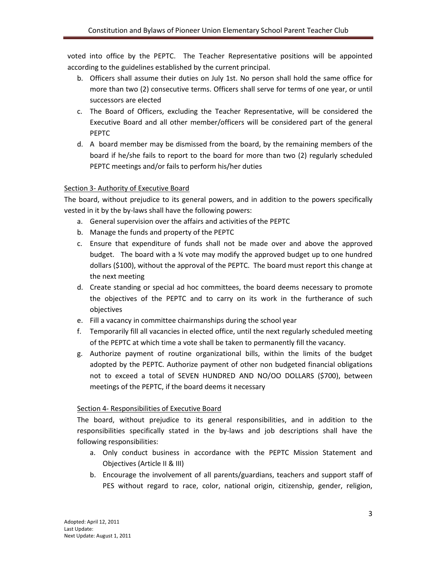voted into office by the PEPTC. The Teacher Representative positions will be appointed according to the guidelines established by the current principal.

- b. Officers shall assume their duties on July 1st. No person shall hold the same office for more than two (2) consecutive terms. Officers shall serve for terms of one year, or until successors are elected
- c. The Board of Officers, excluding the Teacher Representative, will be considered the Executive Board and all other member/officers will be considered part of the general PEPTC
- d. A board member may be dismissed from the board, by the remaining members of the board if he/she fails to report to the board for more than two (2) regularly scheduled PEPTC meetings and/or fails to perform his/her duties

# Section 3- Authority of Executive Board

The board, without prejudice to its general powers, and in addition to the powers specifically vested in it by the by-laws shall have the following powers:

- a. General supervision over the affairs and activities of the PEPTC
- b. Manage the funds and property of the PEPTC
- c. Ensure that expenditure of funds shall not be made over and above the approved budget. The board with a ¾ vote may modify the approved budget up to one hundred dollars (\$100), without the approval of the PEPTC. The board must report this change at the next meeting
- d. Create standing or special ad hoc committees, the board deems necessary to promote the objectives of the PEPTC and to carry on its work in the furtherance of such objectives
- e. Fill a vacancy in committee chairmanships during the school year
- f. Temporarily fill all vacancies in elected office, until the next regularly scheduled meeting of the PEPTC at which time a vote shall be taken to permanently fill the vacancy.
- g. Authorize payment of routine organizational bills, within the limits of the budget adopted by the PEPTC. Authorize payment of other non budgeted financial obligations not to exceed a total of SEVEN HUNDRED AND NO/OO DOLLARS (\$700), between meetings of the PEPTC, if the board deems it necessary

### Section 4- Responsibilities of Executive Board

The board, without prejudice to its general responsibilities, and in addition to the responsibilities specifically stated in the by-laws and job descriptions shall have the following responsibilities:

- a. Only conduct business in accordance with the PEPTC Mission Statement and Objectives (Article II & III)
- b. Encourage the involvement of all parents/guardians, teachers and support staff of PES without regard to race, color, national origin, citizenship, gender, religion,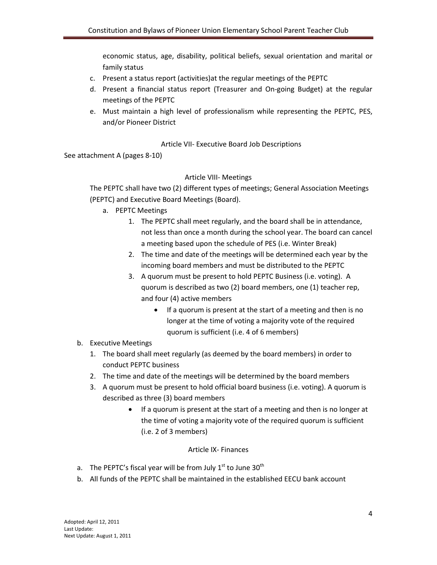economic status, age, disability, political beliefs, sexual orientation and marital or family status

- c. Present a status report (activities)at the regular meetings of the PEPTC
- d. Present a financial status report (Treasurer and On-going Budget) at the regular meetings of the PEPTC
- e. Must maintain a high level of professionalism while representing the PEPTC, PES, and/or Pioneer District

#### Article VII- Executive Board Job Descriptions

See attachment A (pages 8-10)

#### Article VIII- Meetings

The PEPTC shall have two (2) different types of meetings; General Association Meetings (PEPTC) and Executive Board Meetings (Board).

- a. PEPTC Meetings
	- 1. The PEPTC shall meet regularly, and the board shall be in attendance, not less than once a month during the school year. The board can cancel a meeting based upon the schedule of PES (i.e. Winter Break)
	- 2. The time and date of the meetings will be determined each year by the incoming board members and must be distributed to the PEPTC
	- 3. A quorum must be present to hold PEPTC Business (i.e. voting). A quorum is described as two (2) board members, one (1) teacher rep, and four (4) active members
		- If a quorum is present at the start of a meeting and then is no longer at the time of voting a majority vote of the required quorum is sufficient (i.e. 4 of 6 members)
- b. Executive Meetings
	- 1. The board shall meet regularly (as deemed by the board members) in order to conduct PEPTC business
	- 2. The time and date of the meetings will be determined by the board members
	- 3. A quorum must be present to hold official board business (i.e. voting). A quorum is described as three (3) board members
		- If a quorum is present at the start of a meeting and then is no longer at the time of voting a majority vote of the required quorum is sufficient (i.e. 2 of 3 members)

### Article IX- Finances

- a. The PEPTC's fiscal year will be from July  $1<sup>st</sup>$  to June  $30<sup>th</sup>$
- b. All funds of the PEPTC shall be maintained in the established EECU bank account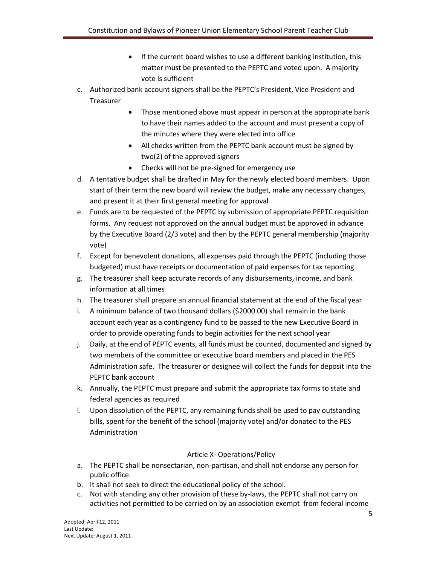- If the current board wishes to use a different banking institution, this matter must be presented to the PEPTC and voted upon. A majority vote is sufficient
- c. Authorized bank account signers shall be the PEPTC's President, Vice President and Treasurer
	- Those mentioned above must appear in person at the appropriate bank to have their names added to the account and must present a copy of the minutes where they were elected into office
	- All checks written from the PEPTC bank account must be signed by two(2) of the approved signers
	- Checks will not be pre-signed for emergency use
- d. A tentative budget shall be drafted in May for the newly elected board members. Upon start of their term the new board will review the budget, make any necessary changes, and present it at their first general meeting for approval
- e. Funds are to be requested of the PEPTC by submission of appropriate PEPTC requisition forms. Any request not approved on the annual budget must be approved in advance by the Executive Board (2/3 vote) and then by the PEPTC general membership (majority vote)
- f. Except for benevolent donations, all expenses paid through the PEPTC (including those budgeted) must have receipts or documentation of paid expenses for tax reporting
- g. The treasurer shall keep accurate records of any disbursements, income, and bank information at all times
- h. The treasurer shall prepare an annual financial statement at the end of the fiscal year
- i. A minimum balance of two thousand dollars (\$2000.00) shall remain in the bank account each year as a contingency fund to be passed to the new Executive Board in order to provide operating funds to begin activities for the next school year
- j. Daily, at the end of PEPTC events, all funds must be counted, documented and signed by two members of the committee or executive board members and placed in the PES Administration safe. The treasurer or designee will collect the funds for deposit into the PEPTC bank account
- k. Annually, the PEPTC must prepare and submit the appropriate tax forms to state and federal agencies as required
- l. Upon dissolution of the PEPTC, any remaining funds shall be used to pay outstanding bills, spent for the benefit of the school (majority vote) and/or donated to the PES Administration

### Article X- Operations/Policy

- a. The PEPTC shall be nonsectarian, non-partisan, and shall not endorse any person for public office.
- b. It shall not seek to direct the educational policy of the school.
- c. Not with standing any other provision of these by-laws, the PEPTC shall not carry on activities not permitted to be carried on by an association exempt from federal income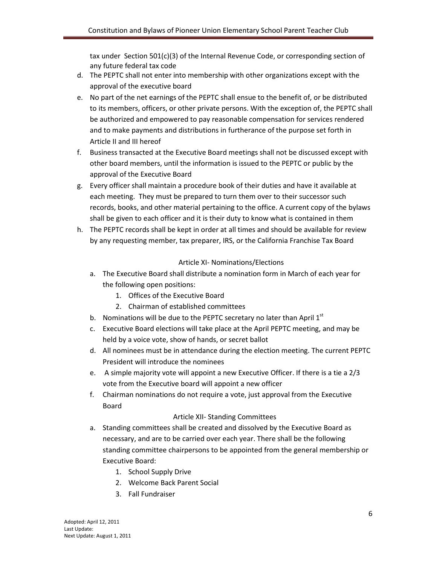tax under Section 501(c)(3) of the Internal Revenue Code, or corresponding section of any future federal tax code

- d. The PEPTC shall not enter into membership with other organizations except with the approval of the executive board
- e. No part of the net earnings of the PEPTC shall ensue to the benefit of, or be distributed to its members, officers, or other private persons. With the exception of, the PEPTC shall be authorized and empowered to pay reasonable compensation for services rendered and to make payments and distributions in furtherance of the purpose set forth in Article II and III hereof
- f. Business transacted at the Executive Board meetings shall not be discussed except with other board members, until the information is issued to the PEPTC or public by the approval of the Executive Board
- g. Every officer shall maintain a procedure book of their duties and have it available at each meeting. They must be prepared to turn them over to their successor such records, books, and other material pertaining to the office. A current copy of the bylaws shall be given to each officer and it is their duty to know what is contained in them
- h. The PEPTC records shall be kept in order at all times and should be available for review by any requesting member, tax preparer, IRS, or the California Franchise Tax Board

# Article XI- Nominations/Elections

- a. The Executive Board shall distribute a nomination form in March of each year for the following open positions:
	- 1. Offices of the Executive Board
	- 2. Chairman of established committees
- b. Nominations will be due to the PEPTC secretary no later than April  $1<sup>st</sup>$
- c. Executive Board elections will take place at the April PEPTC meeting, and may be held by a voice vote, show of hands, or secret ballot
- d. All nominees must be in attendance during the election meeting. The current PEPTC President will introduce the nominees
- e. A simple majority vote will appoint a new Executive Officer. If there is a tie a 2/3 vote from the Executive board will appoint a new officer
- f. Chairman nominations do not require a vote, just approval from the Executive Board

### Article XII- Standing Committees

- a. Standing committees shall be created and dissolved by the Executive Board as necessary, and are to be carried over each year. There shall be the following standing committee chairpersons to be appointed from the general membership or Executive Board:
	- 1. School Supply Drive
	- 2. Welcome Back Parent Social
	- 3. Fall Fundraiser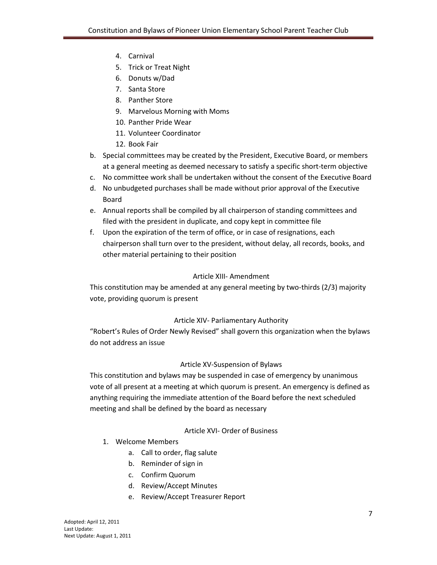- 4. Carnival
- 5. Trick or Treat Night
- 6. Donuts w/Dad
- 7. Santa Store
- 8. Panther Store
- 9. Marvelous Morning with Moms
- 10. Panther Pride Wear
- 11. Volunteer Coordinator
- 12. Book Fair
- b. Special committees may be created by the President, Executive Board, or members at a general meeting as deemed necessary to satisfy a specific short-term objective
- c. No committee work shall be undertaken without the consent of the Executive Board
- d. No unbudgeted purchases shall be made without prior approval of the Executive Board
- e. Annual reports shall be compiled by all chairperson of standing committees and filed with the president in duplicate, and copy kept in committee file
- f. Upon the expiration of the term of office, or in case of resignations, each chairperson shall turn over to the president, without delay, all records, books, and other material pertaining to their position

### Article XIII- Amendment

This constitution may be amended at any general meeting by two-thirds (2/3) majority vote, providing quorum is present

### Article XIV- Parliamentary Authority

"Robert's Rules of Order Newly Revised" shall govern this organization when the bylaws do not address an issue

### Article XV-Suspension of Bylaws

This constitution and bylaws may be suspended in case of emergency by unanimous vote of all present at a meeting at which quorum is present. An emergency is defined as anything requiring the immediate attention of the Board before the next scheduled meeting and shall be defined by the board as necessary

### Article XVI- Order of Business

- 1. Welcome Members
	- a. Call to order, flag salute
	- b. Reminder of sign in
	- c. Confirm Quorum
	- d. Review/Accept Minutes
	- e. Review/Accept Treasurer Report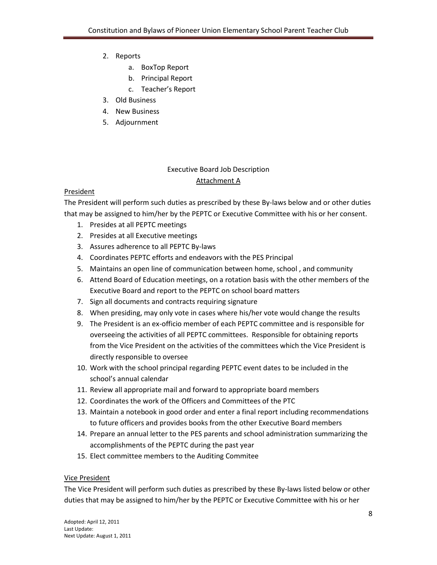- 2. Reports
	- a. BoxTop Report
	- b. Principal Report
	- c. Teacher's Report
- 3. Old Business
- 4. New Business
- 5. Adjournment

# Executive Board Job Description Attachment A

### President

The President will perform such duties as prescribed by these By-laws below and or other duties that may be assigned to him/her by the PEPTC or Executive Committee with his or her consent.

- 1. Presides at all PEPTC meetings
- 2. Presides at all Executive meetings
- 3. Assures adherence to all PEPTC By-laws
- 4. Coordinates PEPTC efforts and endeavors with the PES Principal
- 5. Maintains an open line of communication between home, school , and community
- 6. Attend Board of Education meetings, on a rotation basis with the other members of the Executive Board and report to the PEPTC on school board matters
- 7. Sign all documents and contracts requiring signature
- 8. When presiding, may only vote in cases where his/her vote would change the results
- 9. The President is an ex-officio member of each PEPTC committee and is responsible for overseeing the activities of all PEPTC committees. Responsible for obtaining reports from the Vice President on the activities of the committees which the Vice President is directly responsible to oversee
- 10. Work with the school principal regarding PEPTC event dates to be included in the school's annual calendar
- 11. Review all appropriate mail and forward to appropriate board members
- 12. Coordinates the work of the Officers and Committees of the PTC
- 13. Maintain a notebook in good order and enter a final report including recommendations to future officers and provides books from the other Executive Board members
- 14. Prepare an annual letter to the PES parents and school administration summarizing the accomplishments of the PEPTC during the past year
- 15. Elect committee members to the Auditing Commitee

### Vice President

The Vice President will perform such duties as prescribed by these By-laws listed below or other duties that may be assigned to him/her by the PEPTC or Executive Committee with his or her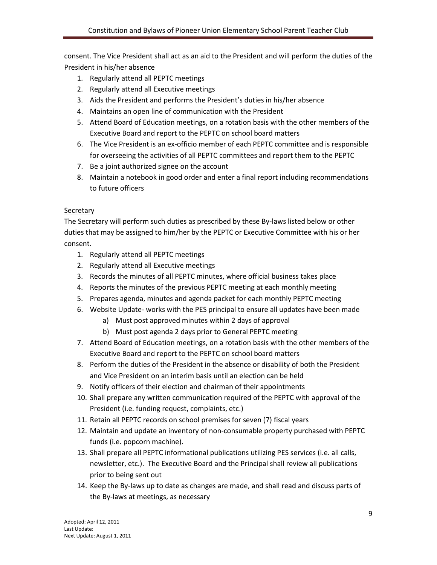consent. The Vice President shall act as an aid to the President and will perform the duties of the President in his/her absence

- 1. Regularly attend all PEPTC meetings
- 2. Regularly attend all Executive meetings
- 3. Aids the President and performs the President's duties in his/her absence
- 4. Maintains an open line of communication with the President
- 5. Attend Board of Education meetings, on a rotation basis with the other members of the Executive Board and report to the PEPTC on school board matters
- 6. The Vice President is an ex-officio member of each PEPTC committee and is responsible for overseeing the activities of all PEPTC committees and report them to the PEPTC
- 7. Be a joint authorized signee on the account
- 8. Maintain a notebook in good order and enter a final report including recommendations to future officers

### **Secretary**

The Secretary will perform such duties as prescribed by these By-laws listed below or other duties that may be assigned to him/her by the PEPTC or Executive Committee with his or her consent.

- 1. Regularly attend all PEPTC meetings
- 2. Regularly attend all Executive meetings
- 3. Records the minutes of all PEPTC minutes, where official business takes place
- 4. Reports the minutes of the previous PEPTC meeting at each monthly meeting
- 5. Prepares agenda, minutes and agenda packet for each monthly PEPTC meeting
- 6. Website Update- works with the PES principal to ensure all updates have been made
	- a) Must post approved minutes within 2 days of approval
	- b) Must post agenda 2 days prior to General PEPTC meeting
- 7. Attend Board of Education meetings, on a rotation basis with the other members of the Executive Board and report to the PEPTC on school board matters
- 8. Perform the duties of the President in the absence or disability of both the President and Vice President on an interim basis until an election can be held
- 9. Notify officers of their election and chairman of their appointments
- 10. Shall prepare any written communication required of the PEPTC with approval of the President (i.e. funding request, complaints, etc.)
- 11. Retain all PEPTC records on school premises for seven (7) fiscal years
- 12. Maintain and update an inventory of non-consumable property purchased with PEPTC funds (i.e. popcorn machine).
- 13. Shall prepare all PEPTC informational publications utilizing PES services (i.e. all calls, newsletter, etc.). The Executive Board and the Principal shall review all publications prior to being sent out
- 14. Keep the By-laws up to date as changes are made, and shall read and discuss parts of the By-laws at meetings, as necessary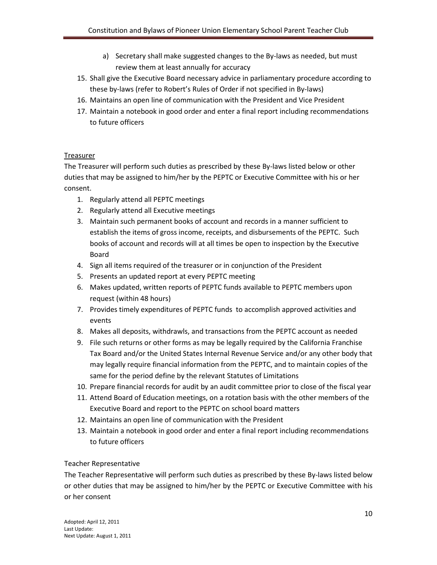- a) Secretary shall make suggested changes to the By-laws as needed, but must review them at least annually for accuracy
- 15. Shall give the Executive Board necessary advice in parliamentary procedure according to these by-laws (refer to Robert's Rules of Order if not specified in By-laws)
- 16. Maintains an open line of communication with the President and Vice President
- 17. Maintain a notebook in good order and enter a final report including recommendations to future officers

### Treasurer

The Treasurer will perform such duties as prescribed by these By-laws listed below or other duties that may be assigned to him/her by the PEPTC or Executive Committee with his or her consent.

- 1. Regularly attend all PEPTC meetings
- 2. Regularly attend all Executive meetings
- 3. Maintain such permanent books of account and records in a manner sufficient to establish the items of gross income, receipts, and disbursements of the PEPTC. Such books of account and records will at all times be open to inspection by the Executive Board
- 4. Sign all items required of the treasurer or in conjunction of the President
- 5. Presents an updated report at every PEPTC meeting
- 6. Makes updated, written reports of PEPTC funds available to PEPTC members upon request (within 48 hours)
- 7. Provides timely expenditures of PEPTC funds to accomplish approved activities and events
- 8. Makes all deposits, withdrawls, and transactions from the PEPTC account as needed
- 9. File such returns or other forms as may be legally required by the California Franchise Tax Board and/or the United States Internal Revenue Service and/or any other body that may legally require financial information from the PEPTC, and to maintain copies of the same for the period define by the relevant Statutes of Limitations
- 10. Prepare financial records for audit by an audit committee prior to close of the fiscal year
- 11. Attend Board of Education meetings, on a rotation basis with the other members of the Executive Board and report to the PEPTC on school board matters
- 12. Maintains an open line of communication with the President
- 13. Maintain a notebook in good order and enter a final report including recommendations to future officers

### Teacher Representative

The Teacher Representative will perform such duties as prescribed by these By-laws listed below or other duties that may be assigned to him/her by the PEPTC or Executive Committee with his or her consent